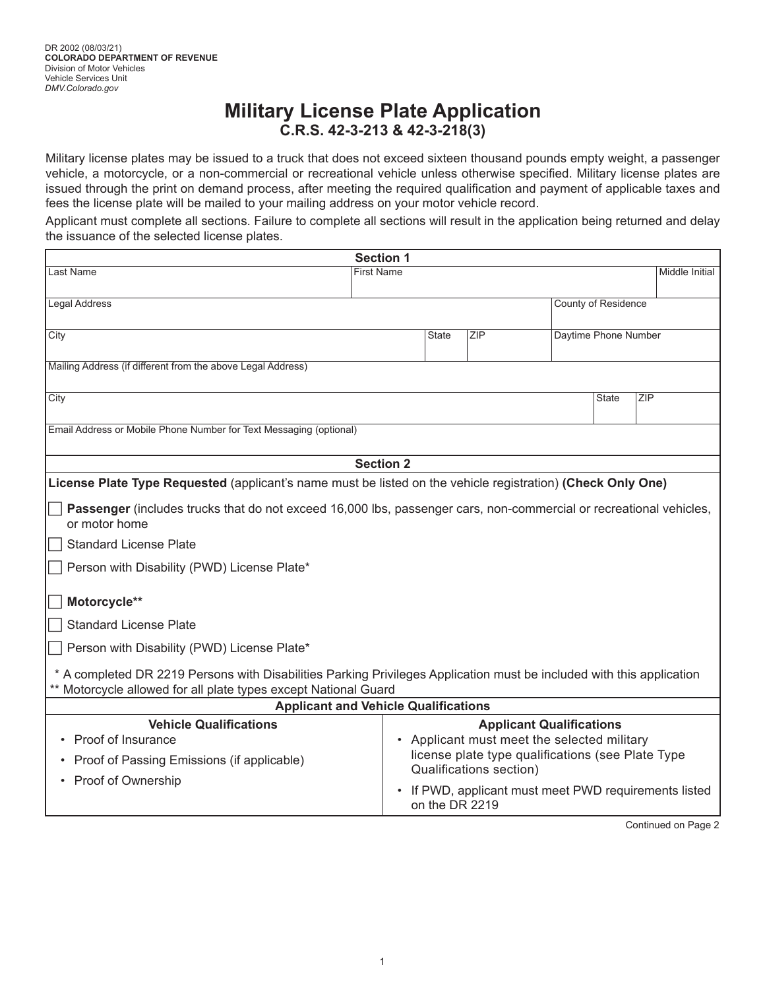## **Military License Plate Application C.R.S. 42-3-213 & 42-3-218(3)**

Military license plates may be issued to a truck that does not exceed sixteen thousand pounds empty weight, a passenger vehicle, a motorcycle, or a non-commercial or recreational vehicle unless otherwise specified. Military license plates are issued through the print on demand process, after meeting the required qualification and payment of applicable taxes and fees the license plate will be mailed to your mailing address on your motor vehicle record.

Applicant must complete all sections. Failure to complete all sections will result in the application being returned and delay the issuance of the selected license plates.

| <b>Section 1</b>                                                                                                                                                                      |                   |              |                         |                                                   |                      |                                                       |
|---------------------------------------------------------------------------------------------------------------------------------------------------------------------------------------|-------------------|--------------|-------------------------|---------------------------------------------------|----------------------|-------------------------------------------------------|
| Last Name                                                                                                                                                                             | <b>First Name</b> |              |                         |                                                   |                      | Middle Initial                                        |
|                                                                                                                                                                                       |                   |              |                         |                                                   |                      |                                                       |
| Legal Address                                                                                                                                                                         |                   |              |                         |                                                   | County of Residence  |                                                       |
|                                                                                                                                                                                       |                   |              |                         |                                                   |                      |                                                       |
| City                                                                                                                                                                                  |                   | <b>State</b> | ZIP                     |                                                   | Daytime Phone Number |                                                       |
|                                                                                                                                                                                       |                   |              |                         |                                                   |                      |                                                       |
| Mailing Address (if different from the above Legal Address)                                                                                                                           |                   |              |                         |                                                   |                      |                                                       |
| City                                                                                                                                                                                  |                   |              |                         |                                                   | State                | ZIP                                                   |
|                                                                                                                                                                                       |                   |              |                         |                                                   |                      |                                                       |
| Email Address or Mobile Phone Number for Text Messaging (optional)                                                                                                                    |                   |              |                         |                                                   |                      |                                                       |
|                                                                                                                                                                                       |                   |              |                         |                                                   |                      |                                                       |
|                                                                                                                                                                                       | <b>Section 2</b>  |              |                         |                                                   |                      |                                                       |
| License Plate Type Requested (applicant's name must be listed on the vehicle registration) (Check Only One)                                                                           |                   |              |                         |                                                   |                      |                                                       |
|                                                                                                                                                                                       |                   |              |                         |                                                   |                      |                                                       |
| Passenger (includes trucks that do not exceed 16,000 lbs, passenger cars, non-commercial or recreational vehicles,                                                                    |                   |              |                         |                                                   |                      |                                                       |
| or motor home                                                                                                                                                                         |                   |              |                         |                                                   |                      |                                                       |
| <b>Standard License Plate</b>                                                                                                                                                         |                   |              |                         |                                                   |                      |                                                       |
| Person with Disability (PWD) License Plate*                                                                                                                                           |                   |              |                         |                                                   |                      |                                                       |
|                                                                                                                                                                                       |                   |              |                         |                                                   |                      |                                                       |
| Motorcycle**                                                                                                                                                                          |                   |              |                         |                                                   |                      |                                                       |
| <b>Standard License Plate</b>                                                                                                                                                         |                   |              |                         |                                                   |                      |                                                       |
| Person with Disability (PWD) License Plate*                                                                                                                                           |                   |              |                         |                                                   |                      |                                                       |
|                                                                                                                                                                                       |                   |              |                         |                                                   |                      |                                                       |
| * A completed DR 2219 Persons with Disabilities Parking Privileges Application must be included with this application<br>Motorcycle allowed for all plate types except National Guard |                   |              |                         |                                                   |                      |                                                       |
| <b>Applicant and Vehicle Qualifications</b>                                                                                                                                           |                   |              |                         |                                                   |                      |                                                       |
| <b>Vehicle Qualifications</b>                                                                                                                                                         |                   |              |                         | <b>Applicant Qualifications</b>                   |                      |                                                       |
| Proof of Insurance                                                                                                                                                                    |                   |              |                         | • Applicant must meet the selected military       |                      |                                                       |
|                                                                                                                                                                                       |                   |              |                         | license plate type qualifications (see Plate Type |                      |                                                       |
| Proof of Passing Emissions (if applicable)                                                                                                                                            |                   |              | Qualifications section) |                                                   |                      |                                                       |
| • Proof of Ownership                                                                                                                                                                  |                   |              |                         |                                                   |                      | • If PWD, applicant must meet PWD requirements listed |
|                                                                                                                                                                                       |                   |              | on the DR 2219          |                                                   |                      |                                                       |
|                                                                                                                                                                                       |                   |              |                         |                                                   |                      |                                                       |

Continued on Page 2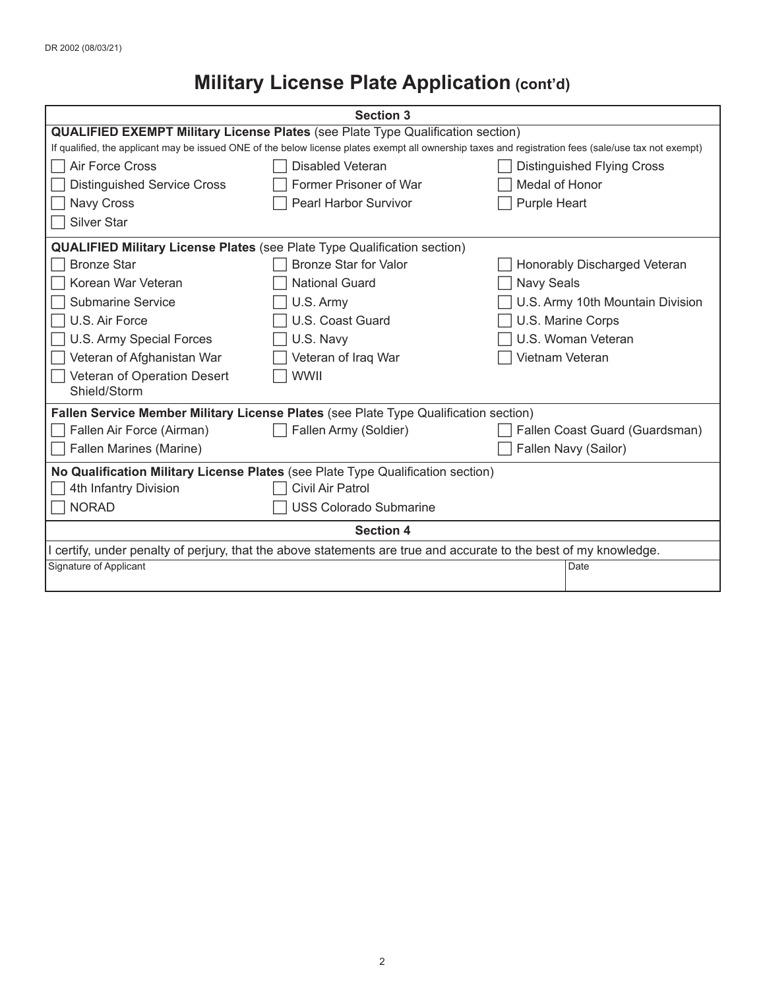# **Military License Plate Application (cont'd)**

| <b>Section 3</b>                                                                                                  |                                                                                                                                                      |                     |                                  |  |
|-------------------------------------------------------------------------------------------------------------------|------------------------------------------------------------------------------------------------------------------------------------------------------|---------------------|----------------------------------|--|
| <b>QUALIFIED EXEMPT Military License Plates (see Plate Type Qualification section)</b>                            |                                                                                                                                                      |                     |                                  |  |
|                                                                                                                   | If qualified, the applicant may be issued ONE of the below license plates exempt all ownership taxes and registration fees (sale/use tax not exempt) |                     |                                  |  |
| Air Force Cross                                                                                                   | Disabled Veteran                                                                                                                                     |                     | Distinguished Flying Cross       |  |
| <b>Distinguished Service Cross</b>                                                                                | Former Prisoner of War                                                                                                                               | Medal of Honor      |                                  |  |
| Navy Cross                                                                                                        | Pearl Harbor Survivor                                                                                                                                | <b>Purple Heart</b> |                                  |  |
| <b>Silver Star</b>                                                                                                |                                                                                                                                                      |                     |                                  |  |
| <b>QUALIFIED Military License Plates</b> (see Plate Type Qualification section)                                   |                                                                                                                                                      |                     |                                  |  |
| <b>Bronze Star</b>                                                                                                | <b>Bronze Star for Valor</b>                                                                                                                         |                     | Honorably Discharged Veteran     |  |
| Korean War Veteran                                                                                                | <b>National Guard</b>                                                                                                                                | Navy Seals          |                                  |  |
| <b>Submarine Service</b>                                                                                          | U.S. Army                                                                                                                                            |                     | U.S. Army 10th Mountain Division |  |
| U.S. Air Force                                                                                                    | U.S. Coast Guard                                                                                                                                     |                     | U.S. Marine Corps                |  |
| U.S. Army Special Forces                                                                                          | U.S. Navy                                                                                                                                            |                     | U.S. Woman Veteran               |  |
| Veteran of Afghanistan War                                                                                        | Veteran of Iraq War                                                                                                                                  | Vietnam Veteran     |                                  |  |
| Veteran of Operation Desert                                                                                       | <b>WWII</b>                                                                                                                                          |                     |                                  |  |
| Shield/Storm                                                                                                      |                                                                                                                                                      |                     |                                  |  |
| Fallen Service Member Military License Plates (see Plate Type Qualification section)                              |                                                                                                                                                      |                     |                                  |  |
| Fallen Air Force (Airman)                                                                                         | Fallen Army (Soldier)                                                                                                                                |                     | Fallen Coast Guard (Guardsman)   |  |
| Fallen Marines (Marine)                                                                                           |                                                                                                                                                      |                     | Fallen Navy (Sailor)             |  |
| No Qualification Military License Plates (see Plate Type Qualification section)                                   |                                                                                                                                                      |                     |                                  |  |
| 4th Infantry Division                                                                                             | Civil Air Patrol                                                                                                                                     |                     |                                  |  |
| <b>NORAD</b>                                                                                                      | <b>USS Colorado Submarine</b>                                                                                                                        |                     |                                  |  |
| <b>Section 4</b>                                                                                                  |                                                                                                                                                      |                     |                                  |  |
| I certify, under penalty of perjury, that the above statements are true and accurate to the best of my knowledge. |                                                                                                                                                      |                     |                                  |  |
| Signature of Applicant                                                                                            |                                                                                                                                                      |                     | Date                             |  |
|                                                                                                                   |                                                                                                                                                      |                     |                                  |  |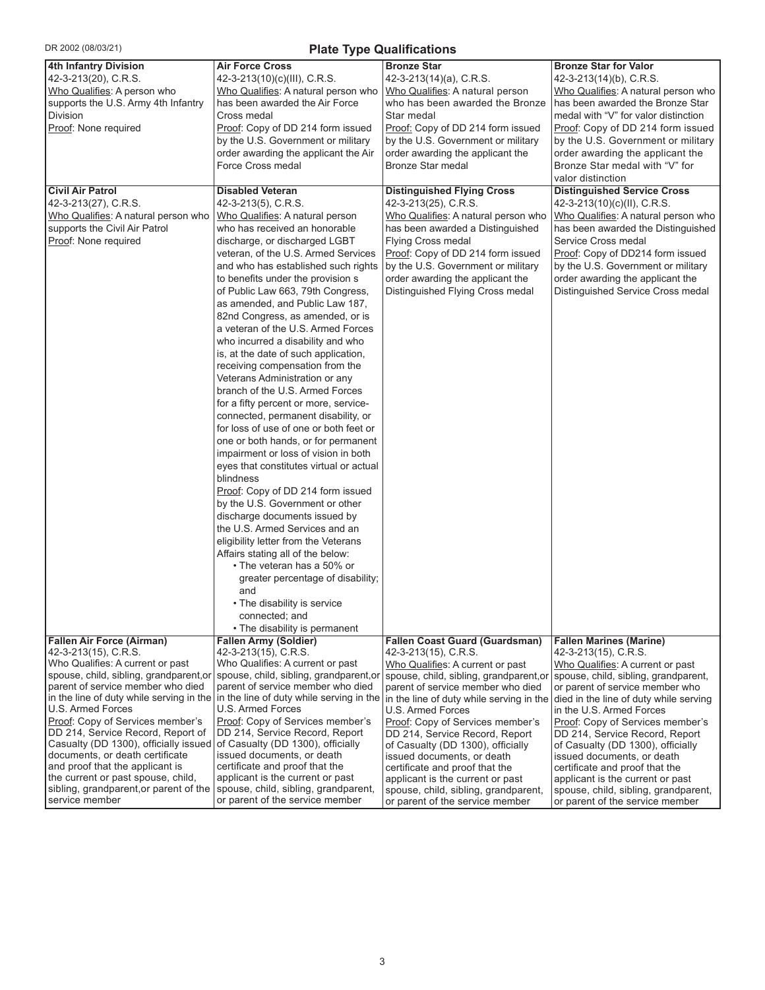| DR 2002 (08/03/21)<br><b>Plate Type Qualifications</b>                      |                                                                                                                |                                                                    |                                                                    |  |  |
|-----------------------------------------------------------------------------|----------------------------------------------------------------------------------------------------------------|--------------------------------------------------------------------|--------------------------------------------------------------------|--|--|
| 4th Infantry Division                                                       | <b>Air Force Cross</b>                                                                                         | <b>Bronze Star</b>                                                 | <b>Bronze Star for Valor</b>                                       |  |  |
| 42-3-213(20), C.R.S.                                                        | 42-3-213(10)(c)(III), C.R.S.                                                                                   | 42-3-213(14)(a), C.R.S.                                            | 42-3-213(14)(b), C.R.S.                                            |  |  |
| Who Qualifies: A person who                                                 | Who Qualifies: A natural person who                                                                            | Who Qualifies: A natural person                                    | Who Qualifies: A natural person who                                |  |  |
| supports the U.S. Army 4th Infantry                                         | has been awarded the Air Force                                                                                 | who has been awarded the Bronze                                    | has been awarded the Bronze Star                                   |  |  |
| Division                                                                    | Cross medal                                                                                                    | Star medal                                                         | medal with "V" for valor distinction                               |  |  |
| Proof: None required                                                        | Proof: Copy of DD 214 form issued                                                                              | Proof: Copy of DD 214 form issued                                  | Proof: Copy of DD 214 form issued                                  |  |  |
|                                                                             | by the U.S. Government or military                                                                             | by the U.S. Government or military                                 | by the U.S. Government or military                                 |  |  |
|                                                                             | order awarding the applicant the Air                                                                           | order awarding the applicant the                                   | order awarding the applicant the                                   |  |  |
|                                                                             | Force Cross medal                                                                                              | Bronze Star medal                                                  | Bronze Star medal with "V" for                                     |  |  |
|                                                                             |                                                                                                                |                                                                    | valor distinction                                                  |  |  |
| <b>Civil Air Patrol</b>                                                     | <b>Disabled Veteran</b>                                                                                        | <b>Distinguished Flying Cross</b>                                  | <b>Distinguished Service Cross</b>                                 |  |  |
| 42-3-213(27), C.R.S.                                                        | 42-3-213(5), C.R.S.                                                                                            | 42-3-213(25), C.R.S.                                               | 42-3-213(10)(c)(ll), C.R.S.                                        |  |  |
| Who Qualifies: A natural person who                                         | Who Qualifies: A natural person                                                                                | Who Qualifies: A natural person who                                | Who Qualifies: A natural person who                                |  |  |
| supports the Civil Air Patrol                                               | who has received an honorable                                                                                  | has been awarded a Distinguished                                   | has been awarded the Distinguished                                 |  |  |
| Proof: None required                                                        | discharge, or discharged LGBT                                                                                  | <b>Flying Cross medal</b>                                          | Service Cross medal                                                |  |  |
|                                                                             | veteran, of the U.S. Armed Services                                                                            | Proof: Copy of DD 214 form issued                                  | Proof: Copy of DD214 form issued                                   |  |  |
|                                                                             | and who has established such rights                                                                            | by the U.S. Government or military                                 | by the U.S. Government or military                                 |  |  |
|                                                                             | to benefits under the provision s                                                                              | order awarding the applicant the                                   | order awarding the applicant the                                   |  |  |
|                                                                             | of Public Law 663, 79th Congress,                                                                              | Distinguished Flying Cross medal                                   | Distinguished Service Cross medal                                  |  |  |
|                                                                             | as amended, and Public Law 187,                                                                                |                                                                    |                                                                    |  |  |
|                                                                             | 82nd Congress, as amended, or is                                                                               |                                                                    |                                                                    |  |  |
|                                                                             | a veteran of the U.S. Armed Forces                                                                             |                                                                    |                                                                    |  |  |
|                                                                             | who incurred a disability and who                                                                              |                                                                    |                                                                    |  |  |
|                                                                             | is, at the date of such application,                                                                           |                                                                    |                                                                    |  |  |
|                                                                             | receiving compensation from the                                                                                |                                                                    |                                                                    |  |  |
|                                                                             | Veterans Administration or any                                                                                 |                                                                    |                                                                    |  |  |
|                                                                             | branch of the U.S. Armed Forces                                                                                |                                                                    |                                                                    |  |  |
|                                                                             | for a fifty percent or more, service-                                                                          |                                                                    |                                                                    |  |  |
|                                                                             | connected, permanent disability, or                                                                            |                                                                    |                                                                    |  |  |
|                                                                             | for loss of use of one or both feet or                                                                         |                                                                    |                                                                    |  |  |
|                                                                             | one or both hands, or for permanent                                                                            |                                                                    |                                                                    |  |  |
|                                                                             | impairment or loss of vision in both                                                                           |                                                                    |                                                                    |  |  |
|                                                                             | eyes that constitutes virtual or actual                                                                        |                                                                    |                                                                    |  |  |
|                                                                             | blindness                                                                                                      |                                                                    |                                                                    |  |  |
|                                                                             | Proof: Copy of DD 214 form issued                                                                              |                                                                    |                                                                    |  |  |
|                                                                             | by the U.S. Government or other                                                                                |                                                                    |                                                                    |  |  |
|                                                                             | discharge documents issued by                                                                                  |                                                                    |                                                                    |  |  |
|                                                                             | the U.S. Armed Services and an                                                                                 |                                                                    |                                                                    |  |  |
|                                                                             | eligibility letter from the Veterans                                                                           |                                                                    |                                                                    |  |  |
|                                                                             | Affairs stating all of the below:                                                                              |                                                                    |                                                                    |  |  |
|                                                                             | • The veteran has a 50% or                                                                                     |                                                                    |                                                                    |  |  |
|                                                                             | greater percentage of disability;                                                                              |                                                                    |                                                                    |  |  |
|                                                                             | and                                                                                                            |                                                                    |                                                                    |  |  |
|                                                                             | • The disability is service                                                                                    |                                                                    |                                                                    |  |  |
|                                                                             | connected; and                                                                                                 |                                                                    |                                                                    |  |  |
|                                                                             | • The disability is permanent                                                                                  |                                                                    |                                                                    |  |  |
| <b>Fallen Air Force (Airman)</b>                                            | <b>Fallen Army (Soldier)</b>                                                                                   | <b>Fallen Coast Guard (Guardsman)</b>                              | <b>Fallen Marines (Marine)</b>                                     |  |  |
| 42-3-213(15), C.R.S.                                                        | 42-3-213(15), C.R.S.                                                                                           | 42-3-213(15), C.R.S.                                               | 42-3-213(15), C.R.S.                                               |  |  |
| Who Qualifies: A current or past                                            | Who Qualifies: A current or past                                                                               | Who Qualifies: A current or past                                   | Who Qualifies: A current or past                                   |  |  |
|                                                                             | spouse, child, sibling, grandparent, or spouse, child, sibling, grandparent, or                                | spouse, child, sibling, grandparent, or                            | spouse, child, sibling, grandparent,                               |  |  |
| parent of service member who died                                           | parent of service member who died                                                                              | parent of service member who died                                  | or parent of service member who                                    |  |  |
| U.S. Armed Forces                                                           | in the line of duty while serving in the $\vert$ in the line of duty while serving in the<br>U.S. Armed Forces | in the line of duty while serving in the                           | died in the line of duty while serving                             |  |  |
| Proof: Copy of Services member's                                            | Proof: Copy of Services member's                                                                               | U.S. Armed Forces                                                  | in the U.S. Armed Forces                                           |  |  |
| DD 214, Service Record, Report of                                           | DD 214, Service Record, Report                                                                                 | Proof: Copy of Services member's<br>DD 214, Service Record, Report | Proof: Copy of Services member's<br>DD 214, Service Record, Report |  |  |
| Casualty (DD 1300), officially issued of Casualty (DD 1300), officially     |                                                                                                                | of Casualty (DD 1300), officially                                  | of Casualty (DD 1300), officially                                  |  |  |
| documents, or death certificate                                             | issued documents, or death                                                                                     | issued documents, or death                                         | issued documents, or death                                         |  |  |
| and proof that the applicant is                                             | certificate and proof that the                                                                                 | certificate and proof that the                                     | certificate and proof that the                                     |  |  |
| the current or past spouse, child,                                          | applicant is the current or past                                                                               | applicant is the current or past                                   | applicant is the current or past                                   |  |  |
| sibling, grandparent, or parent of the spouse, child, sibling, grandparent, |                                                                                                                | spouse, child, sibling, grandparent,                               | spouse, child, sibling, grandparent,                               |  |  |
| service member                                                              | or parent of the service member                                                                                | or parent of the service member                                    | or parent of the service member                                    |  |  |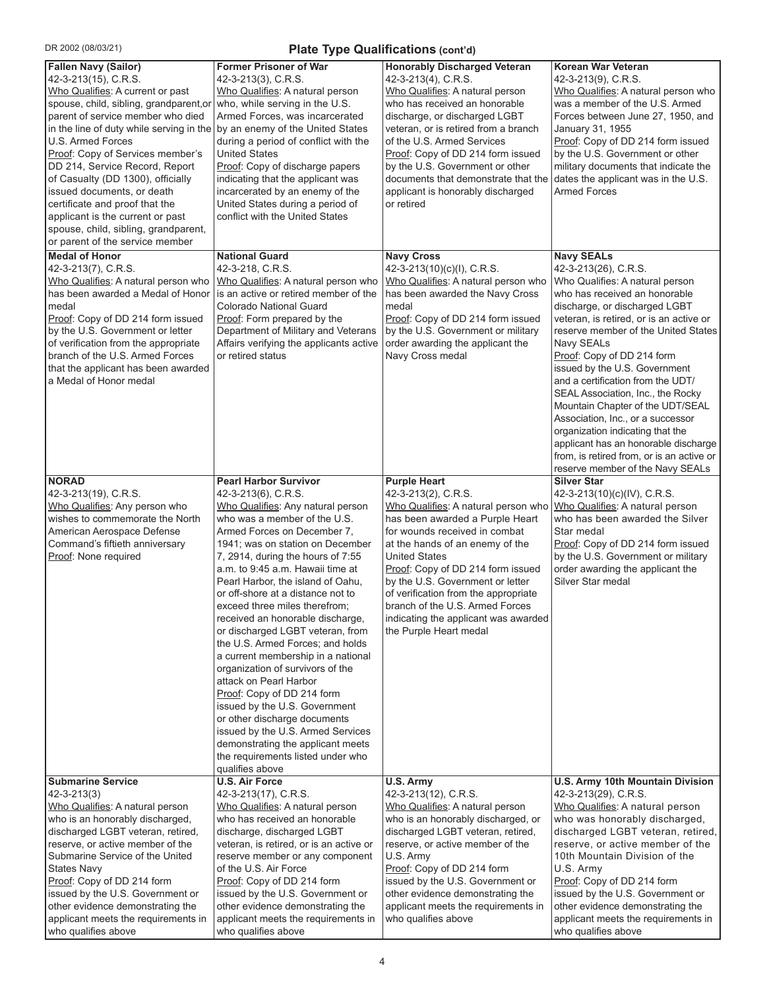| DR 2002 (08/03/21)<br>Plate Type Qualifications (cont'd)                                                                                                                                                                                                                                                                                                                                                                                                                                                                                                           |                                                                                                                                                                                                                                                                                                                                                                                                                                                                                                                                                                                                                                                                                                                                                                                                                                  |                                                                                                                                                                                                                                                                                                                                                                                                                                        |                                                                                                                                                                                                                                                                                                                                                                                                                                                                                                                                                                                                                               |  |
|--------------------------------------------------------------------------------------------------------------------------------------------------------------------------------------------------------------------------------------------------------------------------------------------------------------------------------------------------------------------------------------------------------------------------------------------------------------------------------------------------------------------------------------------------------------------|----------------------------------------------------------------------------------------------------------------------------------------------------------------------------------------------------------------------------------------------------------------------------------------------------------------------------------------------------------------------------------------------------------------------------------------------------------------------------------------------------------------------------------------------------------------------------------------------------------------------------------------------------------------------------------------------------------------------------------------------------------------------------------------------------------------------------------|----------------------------------------------------------------------------------------------------------------------------------------------------------------------------------------------------------------------------------------------------------------------------------------------------------------------------------------------------------------------------------------------------------------------------------------|-------------------------------------------------------------------------------------------------------------------------------------------------------------------------------------------------------------------------------------------------------------------------------------------------------------------------------------------------------------------------------------------------------------------------------------------------------------------------------------------------------------------------------------------------------------------------------------------------------------------------------|--|
| <b>Fallen Navy (Sailor)</b><br>42-3-213(15), C.R.S.<br>Who Qualifies: A current or past<br>spouse, child, sibling, grandparent,or<br>parent of service member who died<br>in the line of duty while serving in the by an enemy of the United States<br>U.S. Armed Forces<br>Proof: Copy of Services member's<br>DD 214, Service Record, Report<br>of Casualty (DD 1300), officially<br>issued documents, or death<br>certificate and proof that the<br>applicant is the current or past<br>spouse, child, sibling, grandparent,<br>or parent of the service member | <b>Former Prisoner of War</b><br>42-3-213(3), C.R.S.<br>Who Qualifies: A natural person<br>who, while serving in the U.S.<br>Armed Forces, was incarcerated<br>during a period of conflict with the<br><b>United States</b><br>Proof: Copy of discharge papers<br>indicating that the applicant was<br>incarcerated by an enemy of the<br>United States during a period of<br>conflict with the United States                                                                                                                                                                                                                                                                                                                                                                                                                    | <b>Honorably Discharged Veteran</b><br>42-3-213(4), C.R.S.<br>Who Qualifies: A natural person<br>who has received an honorable<br>discharge, or discharged LGBT<br>veteran, or is retired from a branch<br>of the U.S. Armed Services<br>Proof: Copy of DD 214 form issued<br>by the U.S. Government or other<br>documents that demonstrate that the<br>applicant is honorably discharged<br>or retired                                | <b>Korean War Veteran</b><br>42-3-213(9), C.R.S.<br>Who Qualifies: A natural person who<br>was a member of the U.S. Armed<br>Forces between June 27, 1950, and<br>January 31, 1955<br>Proof: Copy of DD 214 form issued<br>by the U.S. Government or other<br>military documents that indicate the<br>dates the applicant was in the U.S.<br><b>Armed Forces</b>                                                                                                                                                                                                                                                              |  |
| <b>Medal of Honor</b><br>42-3-213(7), C.R.S.<br>Who Qualifies: A natural person who<br>has been awarded a Medal of Honor<br>medal<br>Proof: Copy of DD 214 form issued<br>by the U.S. Government or letter<br>of verification from the appropriate<br>branch of the U.S. Armed Forces<br>that the applicant has been awarded<br>a Medal of Honor medal                                                                                                                                                                                                             | <b>National Guard</b><br>42-3-218, C.R.S.<br>Who Qualifies: A natural person who<br>is an active or retired member of the<br><b>Colorado National Guard</b><br>Proof: Form prepared by the<br>Department of Military and Veterans<br>Affairs verifying the applicants active<br>or retired status                                                                                                                                                                                                                                                                                                                                                                                                                                                                                                                                | <b>Navy Cross</b><br>42-3-213(10)(c)(l), C.R.S.<br>Who Qualifies: A natural person who<br>has been awarded the Navy Cross<br>medal<br>Proof: Copy of DD 214 form issued<br>by the U.S. Government or military<br>order awarding the applicant the<br>Navy Cross medal                                                                                                                                                                  | <b>Navy SEALs</b><br>42-3-213(26), C.R.S.<br>Who Qualifies: A natural person<br>who has received an honorable<br>discharge, or discharged LGBT<br>veteran, is retired, or is an active or<br>reserve member of the United States<br>Navy SEALs<br>Proof: Copy of DD 214 form<br>issued by the U.S. Government<br>and a certification from the UDT/<br>SEAL Association, Inc., the Rocky<br>Mountain Chapter of the UDT/SEAL<br>Association, Inc., or a successor<br>organization indicating that the<br>applicant has an honorable discharge<br>from, is retired from, or is an active or<br>reserve member of the Navy SEALs |  |
| <b>NORAD</b><br>42-3-213(19), C.R.S.<br>Who Qualifies: Any person who<br>wishes to commemorate the North<br>American Aerospace Defense<br>Command's fiftieth anniversary<br>Proof: None required                                                                                                                                                                                                                                                                                                                                                                   | <b>Pearl Harbor Survivor</b><br>42-3-213(6), C.R.S.<br>Who Qualifies: Any natural person<br>who was a member of the U.S.<br>Armed Forces on December 7,<br>1941; was on station on December<br>7, 2914, during the hours of 7:55<br>a.m. to 9:45 a.m. Hawaii time at<br>Pearl Harbor, the island of Oahu,<br>or off-shore at a distance not to<br>exceed three miles therefrom;<br>received an honorable discharge,<br>or discharged LGBT veteran, from<br>the U.S. Armed Forces; and holds<br>a current membership in a national<br>organization of survivors of the<br>attack on Pearl Harbor<br>Proof: Copy of DD 214 form<br>issued by the U.S. Government<br>or other discharge documents<br>issued by the U.S. Armed Services<br>demonstrating the applicant meets<br>the requirements listed under who<br>qualifies above | <b>Purple Heart</b><br>42-3-213(2), C.R.S.<br>Who Qualifies: A natural person who<br>has been awarded a Purple Heart<br>for wounds received in combat<br>at the hands of an enemy of the<br><b>United States</b><br>Proof: Copy of DD 214 form issued<br>by the U.S. Government or letter<br>of verification from the appropriate<br>branch of the U.S. Armed Forces<br>indicating the applicant was awarded<br>the Purple Heart medal | <b>Silver Star</b><br>42-3-213(10)(c)(IV), C.R.S.<br>Who Qualifies: A natural person<br>who has been awarded the Silver<br>Star medal<br>Proof: Copy of DD 214 form issued<br>by the U.S. Government or military<br>order awarding the applicant the<br>Silver Star medal                                                                                                                                                                                                                                                                                                                                                     |  |
| <b>Submarine Service</b><br>$42 - 3 - 213(3)$<br>Who Qualifies: A natural person<br>who is an honorably discharged,<br>discharged LGBT veteran, retired,<br>reserve, or active member of the<br>Submarine Service of the United<br>States Navy<br>Proof: Copy of DD 214 form<br>issued by the U.S. Government or<br>other evidence demonstrating the<br>applicant meets the requirements in<br>who qualifies above                                                                                                                                                 | <b>U.S. Air Force</b><br>42-3-213(17), C.R.S.<br>Who Qualifies: A natural person<br>who has received an honorable<br>discharge, discharged LGBT<br>veteran, is retired, or is an active or<br>reserve member or any component<br>of the U.S. Air Force<br>Proof: Copy of DD 214 form<br>issued by the U.S. Government or<br>other evidence demonstrating the<br>applicant meets the requirements in<br>who qualifies above                                                                                                                                                                                                                                                                                                                                                                                                       | U.S. Army<br>42-3-213(12), C.R.S.<br>Who Qualifies: A natural person<br>who is an honorably discharged, or<br>discharged LGBT veteran, retired,<br>reserve, or active member of the<br>U.S. Army<br>Proof: Copy of DD 214 form<br>issued by the U.S. Government or<br>other evidence demonstrating the<br>applicant meets the requirements in<br>who qualifies above                                                                   | U.S. Army 10th Mountain Division<br>42-3-213(29), C.R.S.<br>Who Qualifies: A natural person<br>who was honorably discharged,<br>discharged LGBT veteran, retired,<br>reserve, or active member of the<br>10th Mountain Division of the<br>U.S. Army<br>Proof: Copy of DD 214 form<br>issued by the U.S. Government or<br>other evidence demonstrating the<br>applicant meets the requirements in<br>who qualifies above                                                                                                                                                                                                       |  |